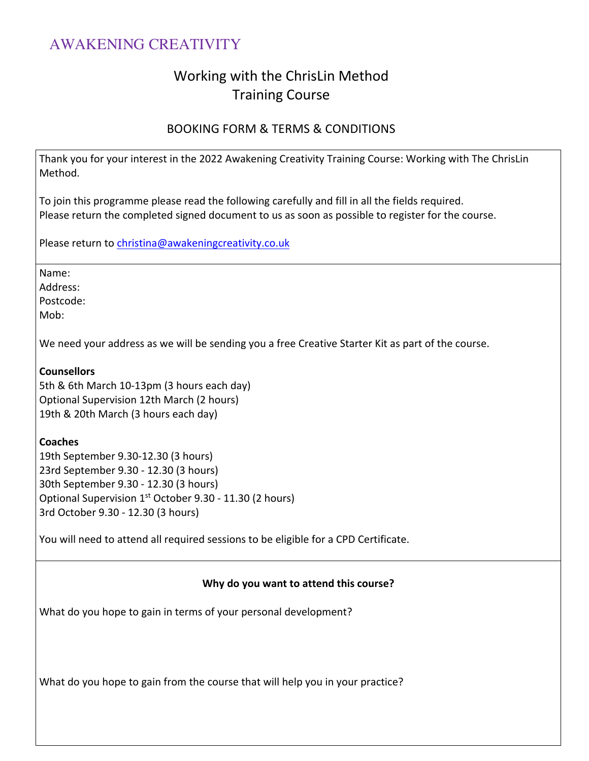### Working with the ChrisLin Method Training Course

### BOOKING FORM & TERMS & CONDITIONS

Thank you for your interest in the 2022 Awakening Creativity Training Course: Working with The ChrisLin Method.

To join this programme please read the following carefully and fill in all the fields required. Please return the completed signed document to us as soon as possible to register for the course.

Please return to christina@awakeningcreativity.co.uk

Name:

Address:

Postcode:

Mob:

We need your address as we will be sending you a free Creative Starter Kit as part of the course.

#### **Counsellors**

5th & 6th March 10-13pm (3 hours each day) Optional Supervision 12th March (2 hours) 19th & 20th March (3 hours each day)

**Coaches**

19th September 9.30-12.30 (3 hours) 23rd September 9.30 - 12.30 (3 hours) 30th September 9.30 - 12.30 (3 hours) Optional Supervision  $1<sup>st</sup>$  October 9.30 - 11.30 (2 hours) 3rd October 9.30 - 12.30 (3 hours)

You will need to attend all required sessions to be eligible for a CPD Certificate.

#### **Why do you want to attend this course?**

What do you hope to gain in terms of your personal development?

What do you hope to gain from the course that will help you in your practice?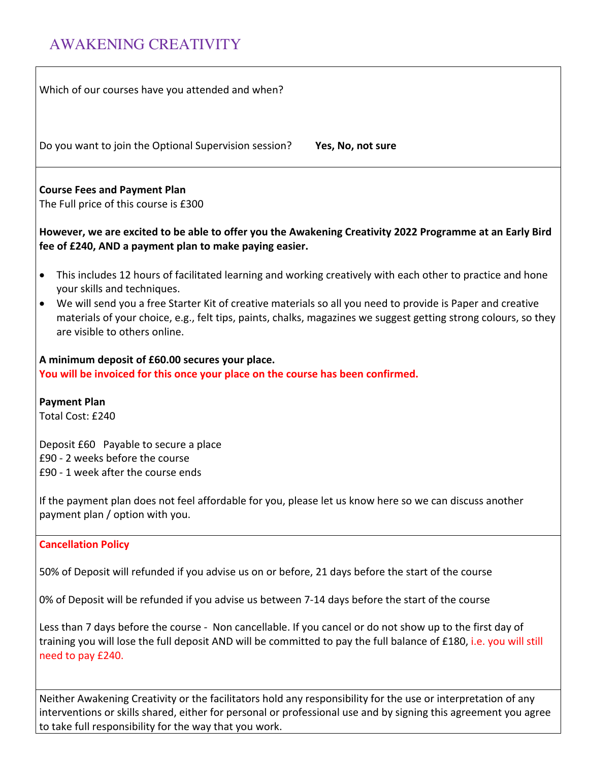need to pay £240.

| Which of our courses have you attended and when?                                                                                                                                                                                                                                                                                                                                                                                      |
|---------------------------------------------------------------------------------------------------------------------------------------------------------------------------------------------------------------------------------------------------------------------------------------------------------------------------------------------------------------------------------------------------------------------------------------|
| Do you want to join the Optional Supervision session?<br>Yes, No, not sure                                                                                                                                                                                                                                                                                                                                                            |
| <b>Course Fees and Payment Plan</b><br>The Full price of this course is £300                                                                                                                                                                                                                                                                                                                                                          |
| However, we are excited to be able to offer you the Awakening Creativity 2022 Programme at an Early Bird<br>fee of £240, AND a payment plan to make paying easier.                                                                                                                                                                                                                                                                    |
| This includes 12 hours of facilitated learning and working creatively with each other to practice and hone<br>$\bullet$<br>your skills and techniques.<br>We will send you a free Starter Kit of creative materials so all you need to provide is Paper and creative<br>$\bullet$<br>materials of your choice, e.g., felt tips, paints, chalks, magazines we suggest getting strong colours, so they<br>are visible to others online. |
| A minimum deposit of £60.00 secures your place.<br>You will be invoiced for this once your place on the course has been confirmed.                                                                                                                                                                                                                                                                                                    |
| <b>Payment Plan</b><br>Total Cost: £240                                                                                                                                                                                                                                                                                                                                                                                               |
| Deposit £60 Payable to secure a place<br>£90 - 2 weeks before the course<br>£90 - 1 week after the course ends                                                                                                                                                                                                                                                                                                                        |
| If the payment plan does not feel affordable for you, please let us know here so we can discuss another<br>payment plan / option with you.                                                                                                                                                                                                                                                                                            |
| <b>Cancellation Policy</b>                                                                                                                                                                                                                                                                                                                                                                                                            |
| 50% of Deposit will refunded if you advise us on or before, 21 days before the start of the course                                                                                                                                                                                                                                                                                                                                    |
| 0% of Deposit will be refunded if you advise us between 7-14 days before the start of the course                                                                                                                                                                                                                                                                                                                                      |
| Less than 7 days before the course - Non cancellable. If you cancel or do not show up to the first day of<br>training you will lose the full deposit AND will be committed to pay the full balance of £180, i.e. you will still                                                                                                                                                                                                       |

Neither Awakening Creativity or the facilitators hold any responsibility for the use or interpretation of any interventions or skills shared, either for personal or professional use and by signing this agreement you agree to take full responsibility for the way that you work.